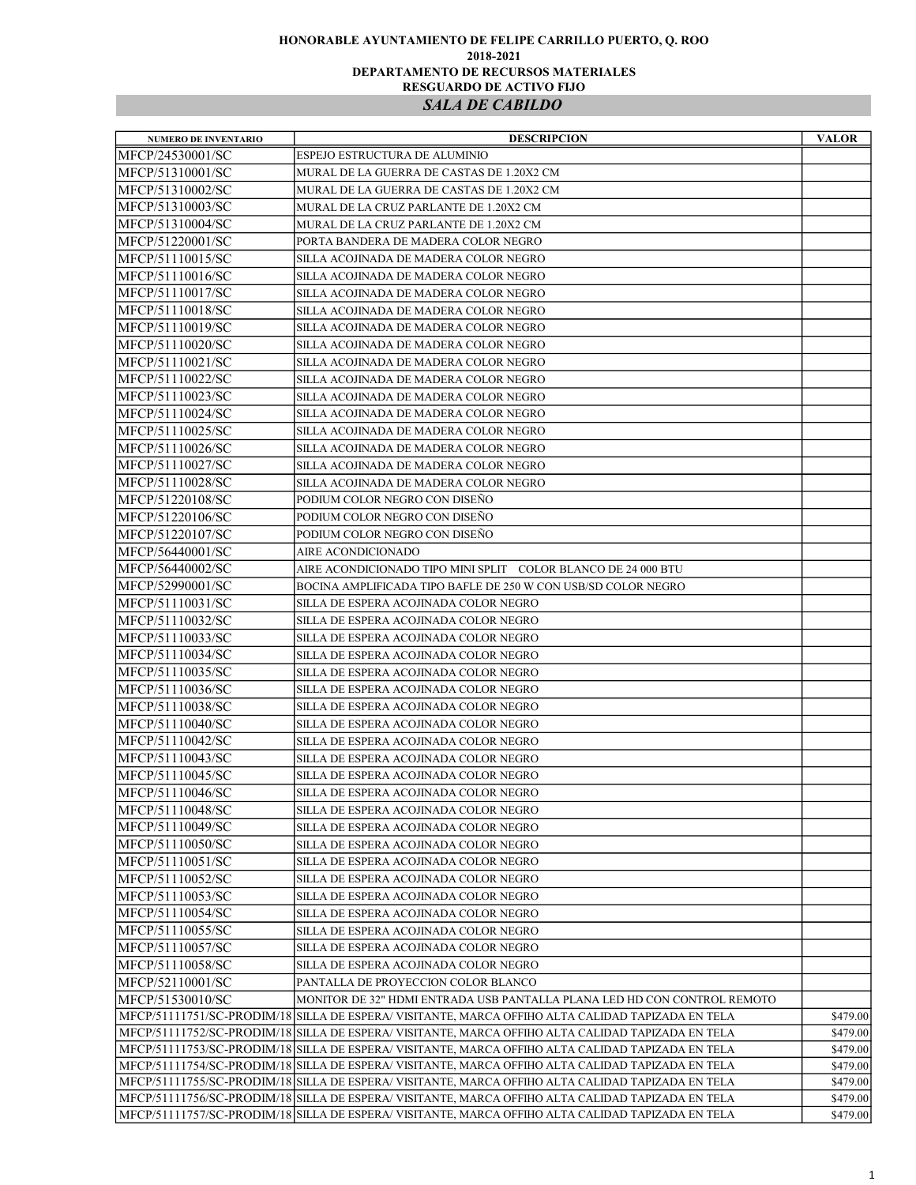## HONORABLE AYUNTAMIENTO DE FELIPE CARRILLO PUERTO, Q. ROO 2018-2021 DEPARTAMENTO DE RECURSOS MATERIALES RESGUARDO DE ACTIVO FIJO SALA DE CABILDO

| <b>NUMERO DE INVENTARIO</b>          | <b>DESCRIPCION</b>                                                                                | <b>VALOR</b> |
|--------------------------------------|---------------------------------------------------------------------------------------------------|--------------|
| MFCP/24530001/SC                     | ESPEJO ESTRUCTURA DE ALUMINIO                                                                     |              |
| MFCP/51310001/SC                     | MURAL DE LA GUERRA DE CASTAS DE 1.20X2 CM                                                         |              |
| MFCP/51310002/SC                     | MURAL DE LA GUERRA DE CASTAS DE 1.20X2 CM                                                         |              |
| MFCP/51310003/SC                     | MURAL DE LA CRUZ PARLANTE DE 1.20X2 CM                                                            |              |
| MFCP/51310004/SC                     | MURAL DE LA CRUZ PARLANTE DE 1.20X2 CM                                                            |              |
| MFCP/51220001/SC                     | PORTA BANDERA DE MADERA COLOR NEGRO                                                               |              |
| MFCP/51110015/SC                     | SILLA ACOJINADA DE MADERA COLOR NEGRO                                                             |              |
| MFCP/51110016/SC                     | SILLA ACOJINADA DE MADERA COLOR NEGRO                                                             |              |
| MFCP/51110017/SC                     | SILLA ACOJINADA DE MADERA COLOR NEGRO                                                             |              |
| MFCP/51110018/SC                     | SILLA ACOJINADA DE MADERA COLOR NEGRO                                                             |              |
| MFCP/51110019/SC                     | SILLA ACOJINADA DE MADERA COLOR NEGRO                                                             |              |
| MFCP/51110020/SC                     | SILLA ACOJINADA DE MADERA COLOR NEGRO                                                             |              |
| MFCP/51110021/SC                     | SILLA ACOJINADA DE MADERA COLOR NEGRO                                                             |              |
| MFCP/51110022/SC                     | SILLA ACOJINADA DE MADERA COLOR NEGRO                                                             |              |
| MFCP/51110023/SC                     | SILLA ACOJINADA DE MADERA COLOR NEGRO                                                             |              |
| MFCP/51110024/SC                     | SILLA ACOJINADA DE MADERA COLOR NEGRO                                                             |              |
| MFCP/51110025/SC                     | SILLA ACOJINADA DE MADERA COLOR NEGRO                                                             |              |
| MFCP/51110026/SC                     | SILLA ACOJINADA DE MADERA COLOR NEGRO                                                             |              |
| MFCP/51110027/SC                     | SILLA ACOJINADA DE MADERA COLOR NEGRO                                                             |              |
| MFCP/51110028/SC                     | SILLA ACOJINADA DE MADERA COLOR NEGRO                                                             |              |
| MFCP/51220108/SC                     | PODIUM COLOR NEGRO CON DISEÑO                                                                     |              |
|                                      | PODIUM COLOR NEGRO CON DISEÑO                                                                     |              |
| MFCP/51220106/SC<br>MFCP/51220107/SC |                                                                                                   |              |
|                                      | PODIUM COLOR NEGRO CON DISEÑO                                                                     |              |
| MFCP/56440001/SC                     | AIRE ACONDICIONADO                                                                                |              |
| MFCP/56440002/SC                     | AIRE ACONDICIONADO TIPO MINI SPLIT COLOR BLANCO DE 24 000 BTU                                     |              |
| MFCP/52990001/SC                     | BOCINA AMPLIFICADA TIPO BAFLE DE 250 W CON USB/SD COLOR NEGRO                                     |              |
| MFCP/51110031/SC                     | SILLA DE ESPERA ACOJINADA COLOR NEGRO                                                             |              |
| MFCP/51110032/SC                     | SILLA DE ESPERA ACOJINADA COLOR NEGRO                                                             |              |
| MFCP/51110033/SC                     | SILLA DE ESPERA ACOJINADA COLOR NEGRO                                                             |              |
| MFCP/51110034/SC                     | SILLA DE ESPERA ACOJINADA COLOR NEGRO                                                             |              |
| MFCP/51110035/SC                     | SILLA DE ESPERA ACOJINADA COLOR NEGRO                                                             |              |
| MFCP/51110036/SC                     | SILLA DE ESPERA ACOJINADA COLOR NEGRO                                                             |              |
| MFCP/51110038/SC                     | SILLA DE ESPERA ACOJINADA COLOR NEGRO                                                             |              |
| MFCP/51110040/SC                     | SILLA DE ESPERA ACOJINADA COLOR NEGRO                                                             |              |
| MFCP/51110042/SC                     | SILLA DE ESPERA ACOJINADA COLOR NEGRO                                                             |              |
| MFCP/51110043/SC                     | SILLA DE ESPERA ACOJINADA COLOR NEGRO                                                             |              |
| MFCP/51110045/SC                     | SILLA DE ESPERA ACOJINADA COLOR NEGRO                                                             |              |
| MFCP/51110046/SC                     | SILLA DE ESPERA ACOJINADA COLOR NEGRO                                                             |              |
| MFCP/51110048/SC                     | SILLA DE ESPERA ACOJINADA COLOR NEGRO                                                             |              |
| MFCP/51110049/SC                     | SILLA DE ESPERA ACOJINADA COLOR NEGRO                                                             |              |
| MFCP/51110050/SC                     | SILLA DE ESPERA ACOJINADA COLOR NEGRO                                                             |              |
| MFCP/51110051/SC                     | SILLA DE ESPERA ACOJINADA COLOR NEGRO                                                             |              |
| MFCP/51110052/SC                     | SILLA DE ESPERA ACOJINADA COLOR NEGRO                                                             |              |
| MFCP/51110053/SC                     | SILLA DE ESPERA ACOJINADA COLOR NEGRO                                                             |              |
| MFCP/51110054/SC                     | SILLA DE ESPERA ACOJINADA COLOR NEGRO                                                             |              |
| MFCP/51110055/SC                     | SILLA DE ESPERA ACOJINADA COLOR NEGRO                                                             |              |
| MFCP/51110057/SC                     | SILLA DE ESPERA ACOJINADA COLOR NEGRO                                                             |              |
| MFCP/51110058/SC                     | SILLA DE ESPERA ACOJINADA COLOR NEGRO                                                             |              |
| MFCP/52110001/SC                     | PANTALLA DE PROYECCION COLOR BLANCO                                                               |              |
| MFCP/51530010/SC                     | MONITOR DE 32" HDMI ENTRADA USB PANTALLA PLANA LED HD CON CONTROL REMOTO                          |              |
|                                      | MFCP/51111751/SC-PRODIM/18 SILLA DE ESPERA/ VISITANTE, MARCA OFFIHO ALTA CALIDAD TAPIZADA EN TELA | \$479.00     |
|                                      | MFCP/51111752/SC-PRODIM/18 SILLA DE ESPERA/ VISITANTE, MARCA OFFIHO ALTA CALIDAD TAPIZADA EN TELA | \$479.00     |
|                                      | MFCP/51111753/SC-PRODIM/18 SILLA DE ESPERA/ VISITANTE, MARCA OFFIHO ALTA CALIDAD TAPIZADA EN TELA | \$479.00     |
|                                      | MFCP/51111754/SC-PRODIM/18 SILLA DE ESPERA/ VISITANTE, MARCA OFFIHO ALTA CALIDAD TAPIZADA EN TELA | \$479.00     |
|                                      | MFCP/51111755/SC-PRODIM/18 SILLA DE ESPERA/ VISITANTE, MARCA OFFIHO ALTA CALIDAD TAPIZADA EN TELA | \$479.00     |
|                                      | MFCP/51111756/SC-PRODIM/18 SILLA DE ESPERA/VISITANTE, MARCA OFFIHO ALTA CALIDAD TAPIZADA EN TELA  | \$479.00     |
|                                      | MFCP/51111757/SC-PRODIM/18 SILLA DE ESPERA/ VISITANTE, MARCA OFFIHO ALTA CALIDAD TAPIZADA EN TELA | \$479.00     |